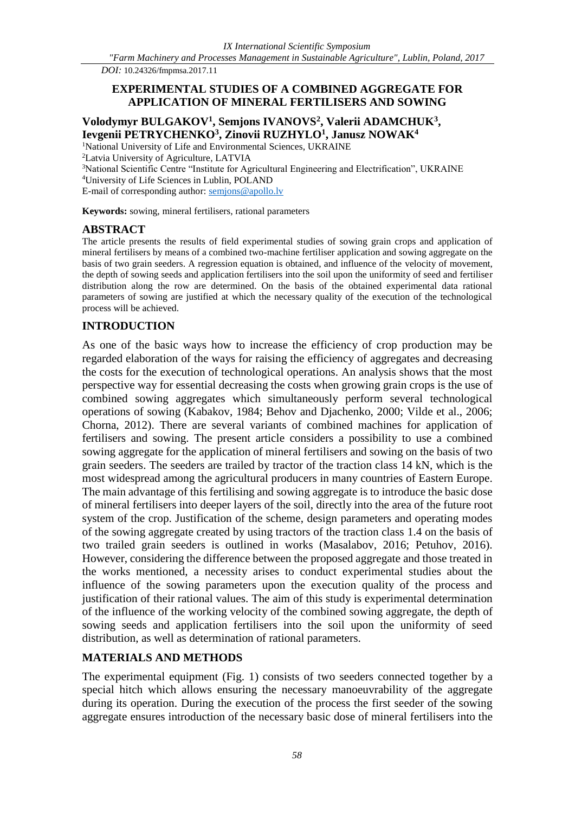*DOI:* 10.24326/fmpmsa.2017.11

#### **EXPERIMENTAL STUDIES OF A COMBINED AGGREGATE FOR APPLICATION OF MINERAL FERTILISERS AND SOWING**

# **Volodymyr BULGAKOV<sup>1</sup> , Semjons IVANOVS<sup>2</sup> , Valerii ADAMCHUK<sup>3</sup> , Ievgenii PETRYCHENKO<sup>3</sup> , Zinovii RUZHYLO<sup>1</sup> , Janusz NOWAK<sup>4</sup>**

<sup>1</sup>National University of Life and Environmental Sciences, UKRAINE

<sup>2</sup>Latvia University of Agriculture, LATVIA

<sup>3</sup>National Scientific Centre "Institute for Agricultural Engineering and Electrification", UKRAINE <sup>4</sup>University of Life Sciences in Lublin, POLAND

E-mail of corresponding author: [semjons@apollo.lv](mailto:semjons@apollo.lv)

**Keywords:** sowing, mineral fertilisers, rational parameters

#### **ABSTRACT**

The article presents the results of field experimental studies of sowing grain crops and application of mineral fertilisers by means of a combined two-machine fertiliser application and sowing aggregate on the basis of two grain seeders. A regression equation is obtained, and influence of the velocity of movement, the depth of sowing seeds and application fertilisers into the soil upon the uniformity of seed and fertiliser distribution along the row are determined. On the basis of the obtained experimental data rational parameters of sowing are justified at which the necessary quality of the execution of the technological process will be achieved.

#### **INTRODUCTION**

As one of the basic ways how to increase the efficiency of crop production may be regarded elaboration of the ways for raising the efficiency of aggregates and decreasing the costs for the execution of technological operations. An analysis shows that the most perspective way for essential decreasing the costs when growing grain crops is the use of combined sowing aggregates which simultaneously perform several technological operations of sowing (Kabakov, 1984; Behov and Djachenko, 2000; Vilde et al., 2006; Chorna, 2012). There are several variants of combined machines for application of fertilisers and sowing. The present article considers a possibility to use a combined sowing aggregate for the application of mineral fertilisers and sowing on the basis of two grain seeders. The seeders are trailed by tractor of the traction class 14 kN, which is the most widespread among the agricultural producers in many countries of Eastern Europe. The main advantage of this fertilising and sowing aggregate is to introduce the basic dose of mineral fertilisers into deeper layers of the soil, directly into the area of the future root system of the crop. Justification of the scheme, design parameters and operating modes of the sowing aggregate created by using tractors of the traction class 1.4 on the basis of two trailed grain seeders is outlined in works (Masalabov, 2016; Petuhov, 2016). However, considering the difference between the proposed aggregate and those treated in the works mentioned, a necessity arises to conduct experimental studies about the influence of the sowing parameters upon the execution quality of the process and justification of their rational values. The aim of this study is experimental determination of the influence of the working velocity of the combined sowing aggregate, the depth of sowing seeds and application fertilisers into the soil upon the uniformity of seed distribution, as well as determination of rational parameters.

## **MATERIALS AND METHODS**

The experimental equipment (Fig. 1) consists of two seeders connected together by a special hitch which allows ensuring the necessary manoeuvrability of the aggregate during its operation. During the execution of the process the first seeder of the sowing aggregate ensures introduction of the necessary basic dose of mineral fertilisers into the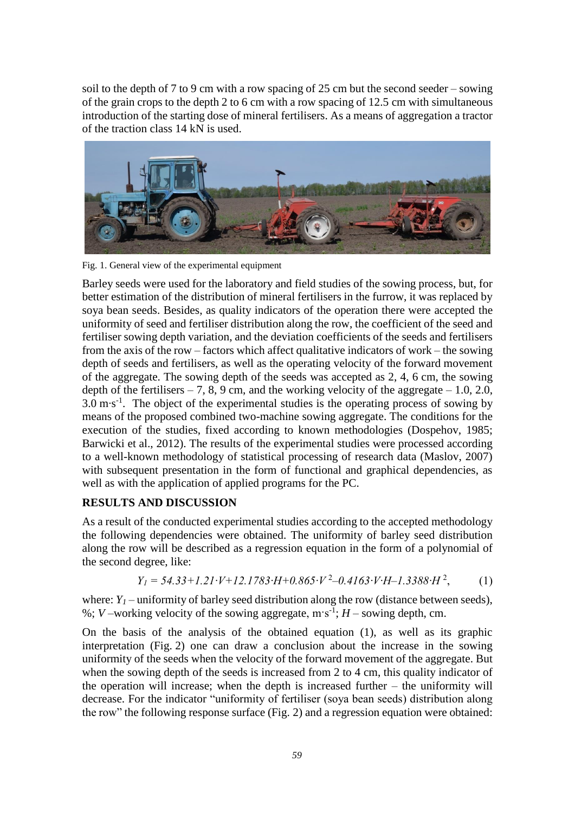soil to the depth of 7 to 9 cm with a row spacing of 25 cm but the second seeder – sowing of the grain crops to the depth 2 to 6 cm with a row spacing of 12.5 cm with simultaneous introduction of the starting dose of mineral fertilisers. As a means of aggregation a tractor of the traction class 14 kN is used.



Fig. 1. General view of the experimental equipment

Barley seeds were used for the laboratory and field studies of the sowing process, but, for better estimation of the distribution of mineral fertilisers in the furrow, it was replaced by soya bean seeds. Besides, as quality indicators of the operation there were accepted the uniformity of seed and fertiliser distribution along the row, the coefficient of the seed and fertiliser sowing depth variation, and the deviation coefficients of the seeds and fertilisers from the axis of the row – factors which affect qualitative indicators of work – the sowing depth of seeds and fertilisers, as well as the operating velocity of the forward movement of the aggregate. The sowing depth of the seeds was accepted as 2, 4, 6 cm, the sowing depth of the fertilisers  $-7$ , 8, 9 cm, and the working velocity of the aggregate  $-1.0$ , 2.0, 3.0 m⋅s<sup>-1</sup>. The object of the experimental studies is the operating process of sowing by means of the proposed combined two-machine sowing aggregate. The conditions for the execution of the studies, fixed according to known methodologies (Dospehov, 1985; Barwicki et al., 2012). The results of the experimental studies were processed according to a well-known methodology of statistical processing of research data (Maslov, 2007) with subsequent presentation in the form of functional and graphical dependencies, as well as with the application of applied programs for the PC.

## **RESULTS AND DISCUSSION**

As a result of the conducted experimental studies according to the accepted methodology the following dependencies were obtained. The uniformity of barley seed distribution along the row will be described as a regression equation in the form of a polynomial of the second degree, like:

$$
Y_1 = 54.33 + 1.21 \cdot V + 12.1783 \cdot H + 0.865 \cdot V^2 - 0.4163 \cdot V \cdot H - 1.3388 \cdot H^2,\tag{1}
$$

where:  $Y<sub>1</sub>$  – uniformity of barley seed distribution along the row (distance between seeds), %; *V* –working velocity of the sowing aggregate,  $m s^{-1}$ ; *H* – sowing depth, cm.

On the basis of the analysis of the obtained equation (1), as well as its graphic interpretation (Fig. 2) one can draw a conclusion about the increase in the sowing uniformity of the seeds when the velocity of the forward movement of the aggregate. But when the sowing depth of the seeds is increased from 2 to 4 cm, this quality indicator of the operation will increase; when the depth is increased further – the uniformity will decrease. For the indicator "uniformity of fertiliser (soya bean seeds) distribution along the row" the following response surface (Fig. 2) and a regression equation were obtained: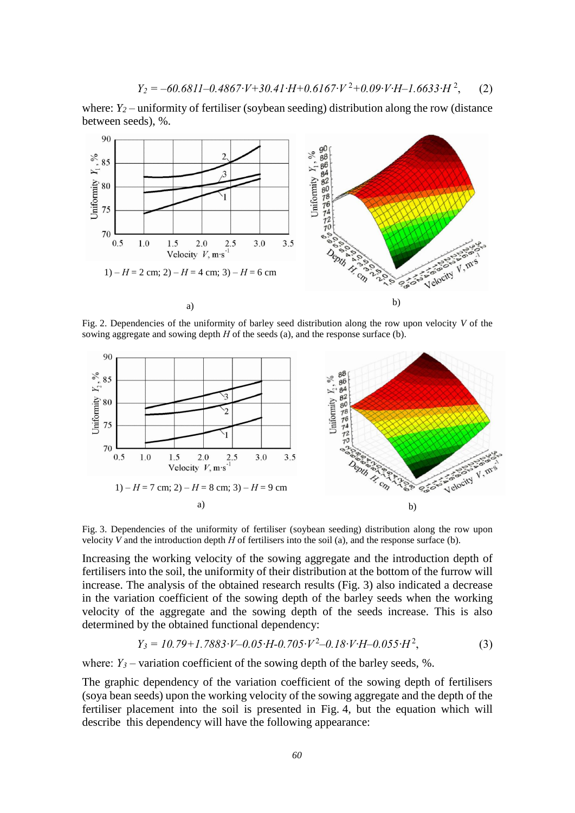$$
Y_2 = -60.6811 - 0.4867 \cdot V + 30.41 \cdot H + 0.6167 \cdot V^2 + 0.09 \cdot V \cdot H - 1.6633 \cdot H^2,\tag{2}
$$

where: *Y*<sub>2</sub> – uniformity of fertiliser (soybean seeding) distribution along the row (distance between seeds), %.



Fig. 2. Dependencies of the uniformity of barley seed distribution along the row upon velocity *V* of the sowing aggregate and sowing depth *H* of the seeds (a), and the response surface (b).



Fig. 3. Dependencies of the uniformity of fertiliser (soybean seeding) distribution along the row upon velocity *V* and the introduction depth *Н* of fertilisers into the soil (a), and the response surface (b).

Increasing the working velocity of the sowing aggregate and the introduction depth of fertilisers into the soil, the uniformity of their distribution at the bottom of the furrow will increase. The analysis of the obtained research results (Fig. 3) also indicated a decrease in the variation coefficient of the sowing depth of the barley seeds when the working velocity of the aggregate and the sowing depth of the seeds increase. This is also determined by the obtained functional dependency:

$$
Y_3 = 10.79 + 1.7883 \cdot V - 0.05 \cdot H - 0.705 \cdot V^2 - 0.18 \cdot V \cdot H - 0.055 \cdot H^2,\tag{3}
$$

where:  $Y_3$  – variation coefficient of the sowing depth of the barley seeds, %.

The graphic dependency of the variation coefficient of the sowing depth of fertilisers (soya bean seeds) upon the working velocity of the sowing aggregate and the depth of the fertiliser placement into the soil is presented in Fig. 4, but the equation which will describe this dependency will have the following appearance: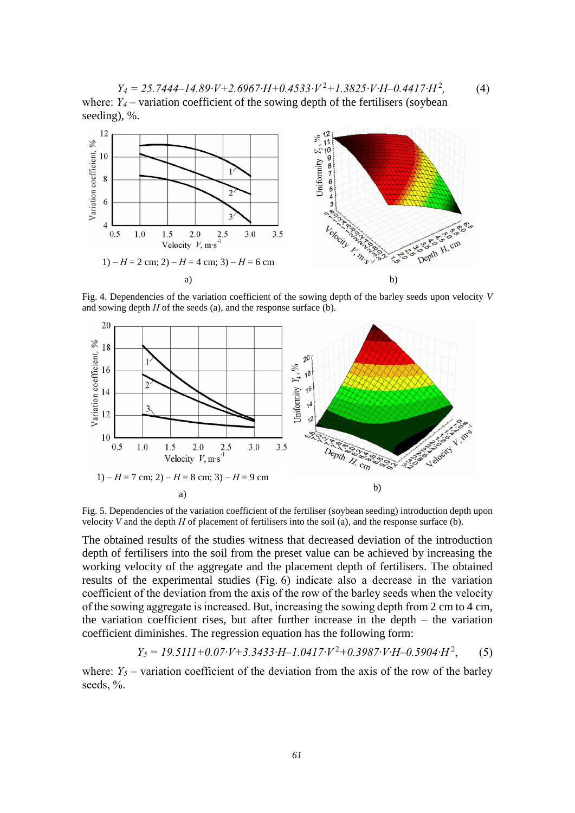*Y<sup>4</sup> = 25.7444*–*14.89∙V+2.6967∙H+0.4533∙V* <sup>2</sup>*+1.3825∙V∙H*–*0.4417∙H* <sup>2</sup> *,* (4) where:  $Y_4$  – variation coefficient of the sowing depth of the fertilisers (soybean seeding), %.



Fig. 4. Dependencies of the variation coefficient of the sowing depth of the barley seeds upon velocity *V* and sowing depth *Н* of the seeds (a), and the response surface (b).



Fig. 5. Dependencies of the variation coefficient of the fertiliser (soybean seeding) introduction depth upon velocity *V* and the depth *Н* of placement of fertilisers into the soil (a), and the response surface (b).

The obtained results of the studies witness that decreased deviation of the introduction depth of fertilisers into the soil from the preset value can be achieved by increasing the working velocity of the aggregate and the placement depth of fertilisers. The obtained results of the experimental studies (Fig. 6) indicate also a decrease in the variation coefficient of the deviation from the axis of the row of the barley seeds when the velocity of the sowing aggregate is increased. But, increasing the sowing depth from 2 cm to 4 cm, the variation coefficient rises, but after further increase in the depth – the variation coefficient diminishes. The regression equation has the following form:

$$
Y_5 = 19.5111 + 0.07 \cdot V + 3.3433 \cdot H - 1.0417 \cdot V^2 + 0.3987 \cdot V \cdot H - 0.5904 \cdot H^2,\tag{5}
$$

where:  $Y_5$  – variation coefficient of the deviation from the axis of the row of the barley seeds, %.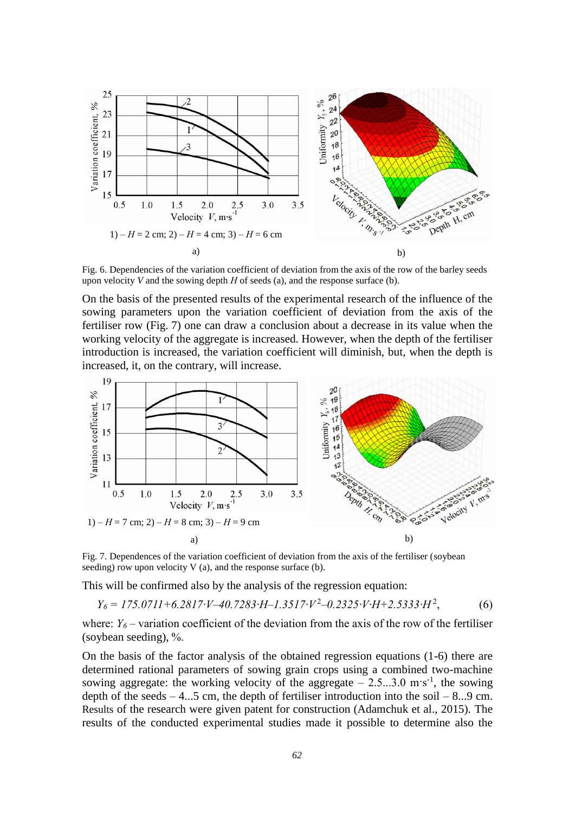

Fig. 6. Dependencies of the variation coefficient of deviation from the axis of the row of the barley seeds upon velocity *V* and the sowing depth *H* of seeds (a), and the response surface (b).

On the basis of the presented results of the experimental research of the influence of the sowing parameters upon the variation coefficient of deviation from the axis of the fertiliser row (Fig. 7) one can draw a conclusion about a decrease in its value when the working velocity of the aggregate is increased. However, when the depth of the fertiliser introduction is increased, the variation coefficient will diminish, but, when the depth is increased, it, on the contrary, will increase.



Fig. 7. Dependences of the variation coefficient of deviation from the axis of the fertiliser (soybean seeding) row upon velocity  $V$  (a), and the response surface (b).

This will be confirmed also by the analysis of the regression equation:

*Y<sup>6</sup> = 175.0711+6.2817∙V*–*40.7283∙H*–*1.3517∙V* <sup>2</sup> –*0.2325∙V∙H+2.5333∙H* <sup>2</sup>  $(6)$ 

where:  $Y_6$  – variation coefficient of the deviation from the axis of the row of the fertiliser (soybean seeding), %.

On the basis of the factor analysis of the obtained regression equations (1-6) there are determined rational parameters of sowing grain crops using a combined two-machine sowing aggregate: the working velocity of the aggregate  $-2.5...3.0 \text{ m/s}^{-1}$ , the sowing depth of the seeds  $-4...5$  cm, the depth of fertiliser introduction into the soil  $-8...9$  cm. Results of the research were given patent for construction (Adamchuk et al., 2015). The results of the conducted experimental studies made it possible to determine also the